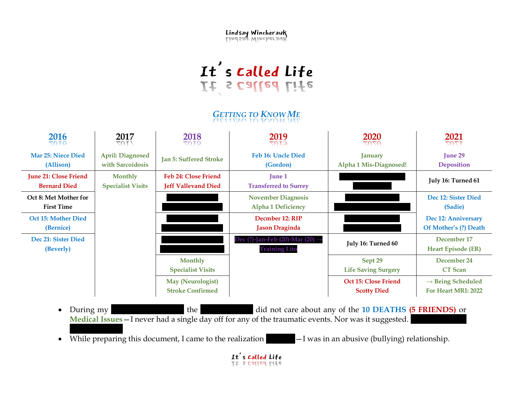Lindsay Wincherauk

## It's called Life<br>If a called rife

## *GETTING TO KNOW ME*

| 2016<br><b>SOTO</b>                                 | 2017<br>70T.V                               | 2018<br><b>QTN7</b>                                 | 2019<br>הדחד                                              | 2020<br>7070                               | 2021<br><b>TZ07</b>                                  |
|-----------------------------------------------------|---------------------------------------------|-----------------------------------------------------|-----------------------------------------------------------|--------------------------------------------|------------------------------------------------------|
| <b>Mar 25: Niece Died</b><br>(Allison)              | <b>April: Diagnosed</b><br>with Sarcoidosis | <b>Jan 5: Suffered Stroke</b>                       | <b>Feb 16: Uncle Died</b><br>(Gordon)                     | <b>January</b><br>Alpha 1 Mis-Diagnosed!   | <b>June 29</b><br><b>Deposition</b>                  |
| <b>June 21: Close Friend</b><br><b>Bernard Died</b> | <b>Monthly</b><br><b>Specialist Visits</b>  | Feb 24: Close Friend<br><b>Jeff Vallevand Died</b>  | <b>June 1</b><br><b>Transferred to Surrey</b>             |                                            | July 16: Turned 61                                   |
| Oct 8: Met Mother for<br><b>First Time</b>          |                                             |                                                     | <b>November Diagnosis</b><br><b>Alpha 1 Deficiency</b>    |                                            | Dec 12: Sister Died<br>(Sadie)                       |
| Oct 15: Mother Died<br>(Bernice)                    |                                             |                                                     | Decmber 12: RIP<br><b>Jason Draginda</b>                  |                                            | Dec 12: Anniversary<br>Of Mother's (?) Death         |
| Dec 21: Sister Died<br>(Beverly)                    |                                             |                                                     | Dec (?)-Jan-Feb (20)-Mar (20) $-$<br><b>Training Lito</b> | July 16: Turned 60                         | December 17<br><b>Heart Episode (ER)</b>             |
|                                                     |                                             | <b>Monthly</b><br><b>Specialist Visits</b>          |                                                           | Sept 29<br><b>Life Saving Surgery</b>      | December 24<br><b>CT</b> Scan                        |
|                                                     |                                             | <b>May (Neurologist)</b><br><b>Stroke Confirmed</b> |                                                           | Oct 15: Close Friend<br><b>Scotty Died</b> | $\rightarrow$ Being Scheduled<br>For Heart MRI: 2022 |

- During my length the powers the did not care about any of the **10 DEATHS (5 FRIENDS)** or **Medical Issues** — I never had a single day off for any of the traumatic events. Nor was it suggested.
- While preparing this document, I came to the realization  $-I$  was in an abusive (bullying) relationship.

It's called Life<br>It's called Life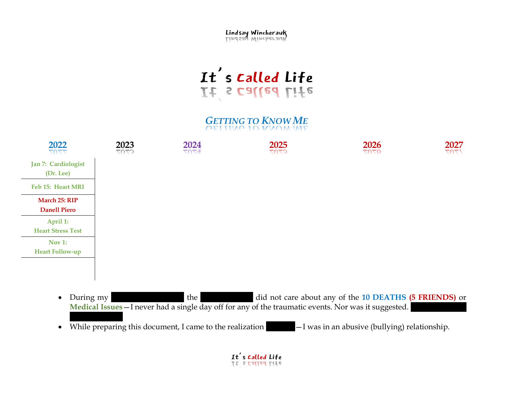Lindsay Wincherauk

## It's called Life<br>If a called rife

*GETTING TO KNOW ME*